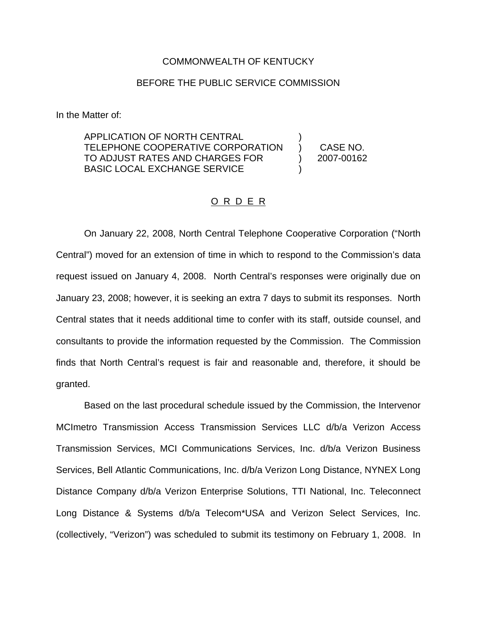#### COMMONWEALTH OF KENTUCKY

### BEFORE THE PUBLIC SERVICE COMMISSION

In the Matter of:

APPLICATION OF NORTH CENTRAL TELEPHONE COOPERATIVE CORPORATION TO ADJUST RATES AND CHARGES FOR BASIC LOCAL EXCHANGE SERVICE ) )

) CASE NO. ) 2007-00162

### O R D E R

On January 22, 2008, North Central Telephone Cooperative Corporation ("North Central") moved for an extension of time in which to respond to the Commission's data request issued on January 4, 2008. North Central's responses were originally due on January 23, 2008; however, it is seeking an extra 7 days to submit its responses. North Central states that it needs additional time to confer with its staff, outside counsel, and consultants to provide the information requested by the Commission. The Commission finds that North Central's request is fair and reasonable and, therefore, it should be granted.

Based on the last procedural schedule issued by the Commission, the Intervenor MCImetro Transmission Access Transmission Services LLC d/b/a Verizon Access Transmission Services, MCI Communications Services, Inc. d/b/a Verizon Business Services, Bell Atlantic Communications, Inc. d/b/a Verizon Long Distance, NYNEX Long Distance Company d/b/a Verizon Enterprise Solutions, TTI National, Inc. Teleconnect Long Distance & Systems d/b/a Telecom\*USA and Verizon Select Services, Inc. (collectively, "Verizon") was scheduled to submit its testimony on February 1, 2008. In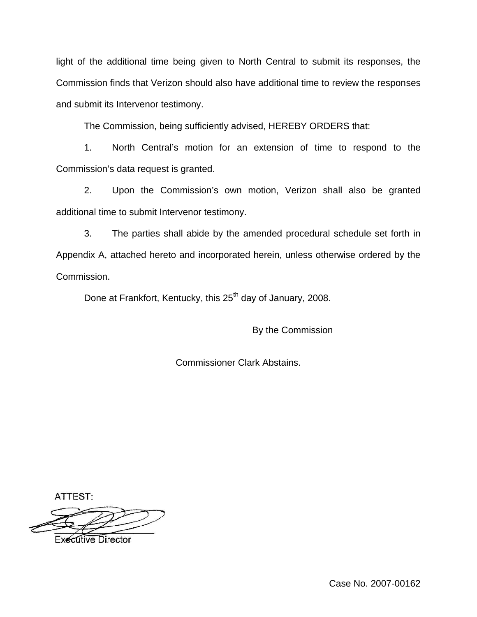light of the additional time being given to North Central to submit its responses, the Commission finds that Verizon should also have additional time to review the responses and submit its Intervenor testimony.

The Commission, being sufficiently advised, HEREBY ORDERS that:

1. North Central's motion for an extension of time to respond to the Commission's data request is granted.

2. Upon the Commission's own motion, Verizon shall also be granted additional time to submit Intervenor testimony.

3. The parties shall abide by the amended procedural schedule set forth in Appendix A, attached hereto and incorporated herein, unless otherwise ordered by the Commission.

Done at Frankfort, Kentucky, this 25<sup>th</sup> day of January, 2008.

By the Commission

Commissioner Clark Abstains.

ATTEST:

**Executive Director**